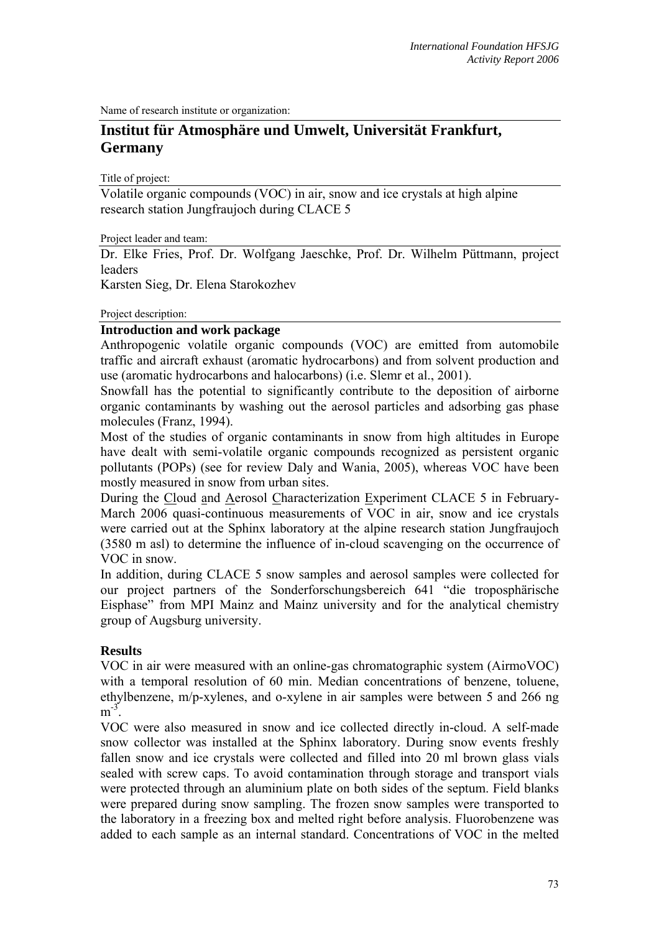Name of research institute or organization:

# **Institut für Atmosphäre und Umwelt, Universität Frankfurt, Germany**

Title of project:

Volatile organic compounds (VOC) in air, snow and ice crystals at high alpine research station Jungfraujoch during CLACE 5

Project leader and team:

Dr. Elke Fries, Prof. Dr. Wolfgang Jaeschke, Prof. Dr. Wilhelm Püttmann, project leaders

Karsten Sieg, Dr. Elena Starokozhev

#### Project description:

# **Introduction and work package**

Anthropogenic volatile organic compounds (VOC) are emitted from automobile traffic and aircraft exhaust (aromatic hydrocarbons) and from solvent production and use (aromatic hydrocarbons and halocarbons) (i.e. Slemr et al., 2001).

Snowfall has the potential to significantly contribute to the deposition of airborne organic contaminants by washing out the aerosol particles and adsorbing gas phase molecules (Franz, 1994).

Most of the studies of organic contaminants in snow from high altitudes in Europe have dealt with semi-volatile organic compounds recognized as persistent organic pollutants (POPs) (see for review Daly and Wania, 2005), whereas VOC have been mostly measured in snow from urban sites.

During the Cloud and Aerosol Characterization Experiment CLACE 5 in February-March 2006 quasi-continuous measurements of VOC in air, snow and ice crystals were carried out at the Sphinx laboratory at the alpine research station Jungfraujoch (3580 m asl) to determine the influence of in-cloud scavenging on the occurrence of VOC in snow.

In addition, during CLACE 5 snow samples and aerosol samples were collected for our project partners of the Sonderforschungsbereich 641 "die troposphärische Eisphase" from MPI Mainz and Mainz university and for the analytical chemistry group of Augsburg university.

## **Results**

VOC in air were measured with an online-gas chromatographic system (AirmoVOC) with a temporal resolution of 60 min. Median concentrations of benzene, toluene, ethylbenzene, m/p-xylenes, and o-xylene in air samples were between 5 and 266 ng  $m<sup>-3</sup>$ 

VOC were also measured in snow and ice collected directly in-cloud. A self-made snow collector was installed at the Sphinx laboratory. During snow events freshly fallen snow and ice crystals were collected and filled into 20 ml brown glass vials sealed with screw caps. To avoid contamination through storage and transport vials were protected through an aluminium plate on both sides of the septum. Field blanks were prepared during snow sampling. The frozen snow samples were transported to the laboratory in a freezing box and melted right before analysis. Fluorobenzene was added to each sample as an internal standard. Concentrations of VOC in the melted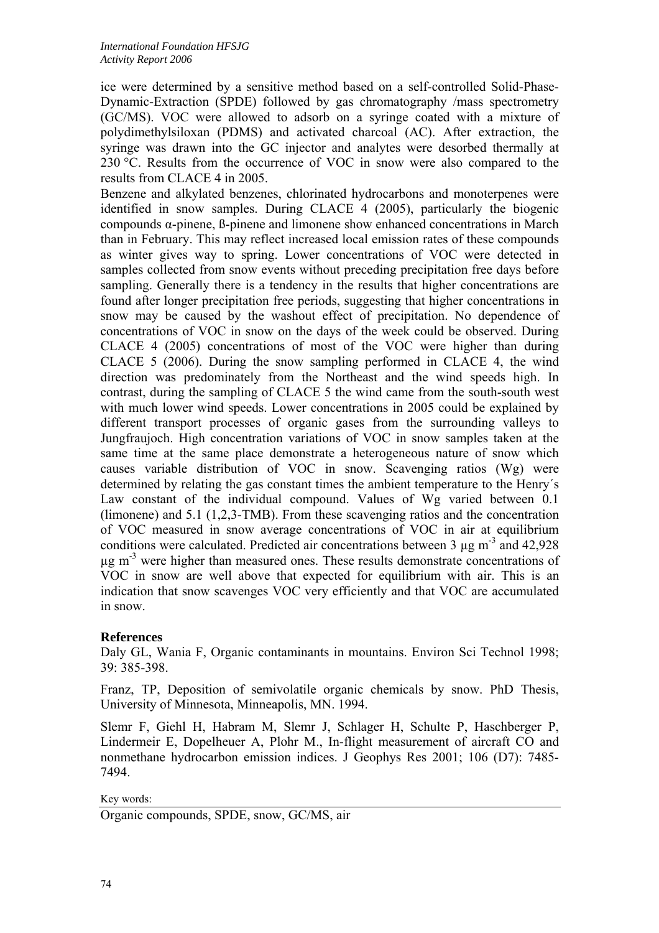ice were determined by a sensitive method based on a self-controlled Solid-Phase-Dynamic-Extraction (SPDE) followed by gas chromatography /mass spectrometry (GC/MS). VOC were allowed to adsorb on a syringe coated with a mixture of polydimethylsiloxan (PDMS) and activated charcoal (AC). After extraction, the syringe was drawn into the GC injector and analytes were desorbed thermally at 230 °C. Results from the occurrence of VOC in snow were also compared to the results from CLACE 4 in 2005.

Benzene and alkylated benzenes, chlorinated hydrocarbons and monoterpenes were identified in snow samples. During CLACE 4 (2005), particularly the biogenic compounds α-pinene, ß-pinene and limonene show enhanced concentrations in March than in February. This may reflect increased local emission rates of these compounds as winter gives way to spring. Lower concentrations of VOC were detected in samples collected from snow events without preceding precipitation free days before sampling. Generally there is a tendency in the results that higher concentrations are found after longer precipitation free periods, suggesting that higher concentrations in snow may be caused by the washout effect of precipitation. No dependence of concentrations of VOC in snow on the days of the week could be observed. During CLACE 4 (2005) concentrations of most of the VOC were higher than during CLACE 5 (2006). During the snow sampling performed in CLACE 4, the wind direction was predominately from the Northeast and the wind speeds high. In contrast, during the sampling of CLACE 5 the wind came from the south-south west with much lower wind speeds. Lower concentrations in 2005 could be explained by different transport processes of organic gases from the surrounding valleys to Jungfraujoch. High concentration variations of VOC in snow samples taken at the same time at the same place demonstrate a heterogeneous nature of snow which causes variable distribution of VOC in snow. Scavenging ratios (Wg) were determined by relating the gas constant times the ambient temperature to the Henry´s Law constant of the individual compound. Values of Wg varied between 0.1 (limonene) and 5.1 (1,2,3-TMB). From these scavenging ratios and the concentration of VOC measured in snow average concentrations of VOC in air at equilibrium conditions were calculated. Predicted air concentrations between 3  $\mu$ g m<sup>-3</sup> and 42,928  $\mu$ g m<sup>-3</sup> were higher than measured ones. These results demonstrate concentrations of VOC in snow are well above that expected for equilibrium with air. This is an indication that snow scavenges VOC very efficiently and that VOC are accumulated in snow.

# **References**

Daly GL, Wania F, Organic contaminants in mountains. Environ Sci Technol 1998; 39: 385-398.

Franz, TP, Deposition of semivolatile organic chemicals by snow. PhD Thesis, University of Minnesota, Minneapolis, MN. 1994.

Slemr F, Giehl H, Habram M, Slemr J, Schlager H, Schulte P, Haschberger P, Lindermeir E, Dopelheuer A, Plohr M., In-flight measurement of aircraft CO and nonmethane hydrocarbon emission indices. J Geophys Res 2001; 106 (D7): 7485- 7494.

Key words:

Organic compounds, SPDE, snow, GC/MS, air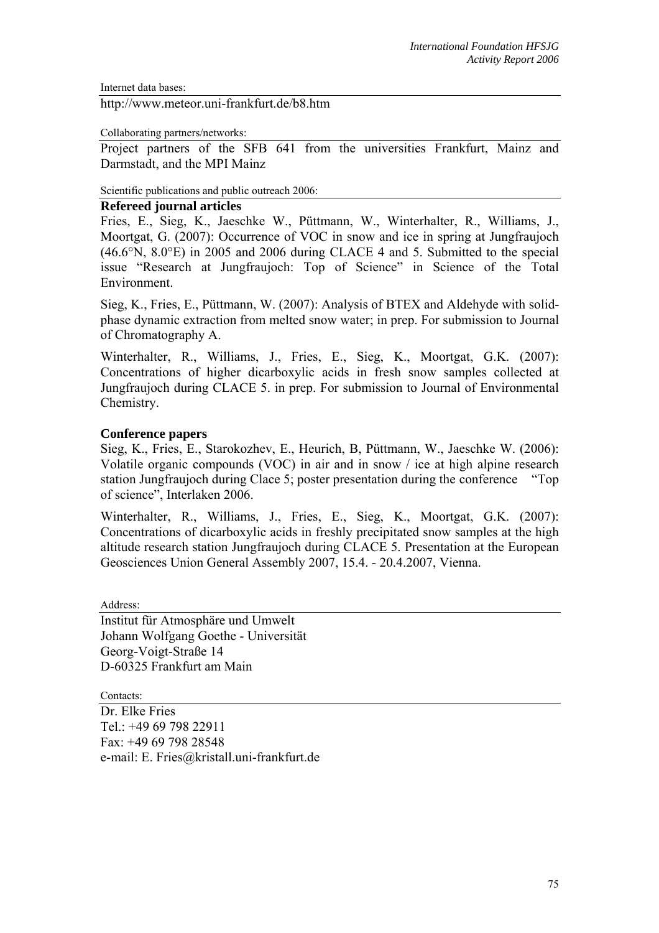Internet data bases:

http://www.meteor.uni-frankfurt.de/b8.htm

Collaborating partners/networks:

Project partners of the SFB 641 from the universities Frankfurt, Mainz and Darmstadt, and the MPI Mainz

Scientific publications and public outreach 2006:

### **Refereed journal articles**

Fries, E., Sieg, K., Jaeschke W., Püttmann, W., Winterhalter, R., Williams, J., Moortgat, G. (2007): Occurrence of VOC in snow and ice in spring at Jungfraujoch (46.6°N, 8.0°E) in 2005 and 2006 during CLACE 4 and 5. Submitted to the special issue "Research at Jungfraujoch: Top of Science" in Science of the Total Environment.

Sieg, K., Fries, E., Püttmann, W. (2007): Analysis of BTEX and Aldehyde with solidphase dynamic extraction from melted snow water; in prep. For submission to Journal of Chromatography A.

Winterhalter, R., Williams, J., Fries, E., Sieg, K., Moortgat, G.K. (2007): Concentrations of higher dicarboxylic acids in fresh snow samples collected at Jungfraujoch during CLACE 5. in prep. For submission to Journal of Environmental Chemistry.

#### **Conference papers**

Sieg, K., Fries, E., Starokozhev, E., Heurich, B, Püttmann, W., Jaeschke W. (2006): Volatile organic compounds (VOC) in air and in snow / ice at high alpine research station Jungfraujoch during Clace 5; poster presentation during the conference "Top of science", Interlaken 2006.

Winterhalter, R., Williams, J., Fries, E., Sieg, K., Moortgat, G.K. (2007): Concentrations of dicarboxylic acids in freshly precipitated snow samples at the high altitude research station Jungfraujoch during CLACE 5. Presentation at the European Geosciences Union General Assembly 2007, 15.4. - 20.4.2007, Vienna.

Address:

Institut für Atmosphäre und Umwelt Johann Wolfgang Goethe - Universität Georg-Voigt-Straße 14 D-60325 Frankfurt am Main

Contacts:

Dr. Elke Fries Tel.: +49 69 798 22911 Fax: +49 69 798 28548 e-mail: E. Fries@kristall.uni-frankfurt.de